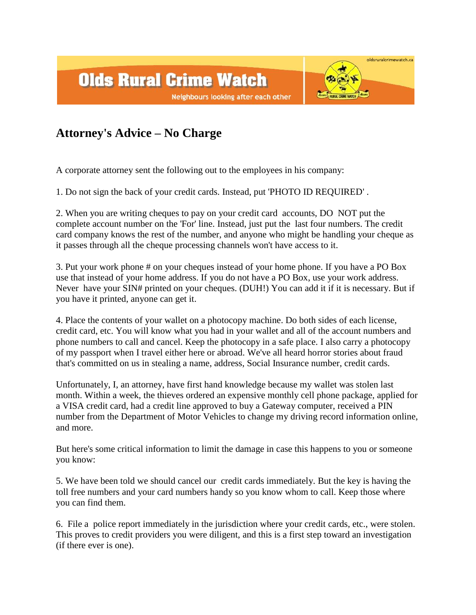

## **Attorney's Advice – No Charge**

A corporate attorney sent the following out to the employees in his company:

1. Do not sign the back of your credit cards. Instead, put 'PHOTO ID REQUIRED' .

2. When you are writing cheques to pay on your credit card accounts, DO NOT put the complete account number on the 'For' line. Instead, just put the last four numbers. The credit card company knows the rest of the number, and anyone who might be handling your cheque as it passes through all the cheque processing channels won't have access to it.

3. Put your work phone # on your cheques instead of your home phone. If you have a PO Box use that instead of your home address. If you do not have a PO Box, use your work address. Never have your SIN# printed on your cheques. (DUH!) You can add it if it is necessary. But if you have it printed, anyone can get it.

4. Place the contents of your wallet on a photocopy machine. Do both sides of each license, credit card, etc. You will know what you had in your wallet and all of the account numbers and phone numbers to call and cancel. Keep the photocopy in a safe place. I also carry a photocopy of my passport when I travel either here or abroad. We've all heard horror stories about fraud that's committed on us in stealing a name, address, Social Insurance number, credit cards.

Unfortunately, I, an attorney, have first hand knowledge because my wallet was stolen last month. Within a week, the thieves ordered an expensive monthly cell phone package, applied for a VISA credit card, had a credit line approved to buy a Gateway computer, received a PIN number from the Department of Motor Vehicles to change my driving record information online, and more.

But here's some critical information to limit the damage in case this happens to you or someone you know:

5. We have been told we should cancel our credit cards immediately. But the key is having the toll free numbers and your card numbers handy so you know whom to call. Keep those where you can find them.

6. File a police report immediately in the jurisdiction where your credit cards, etc., were stolen. This proves to credit providers you were diligent, and this is a first step toward an investigation (if there ever is one).